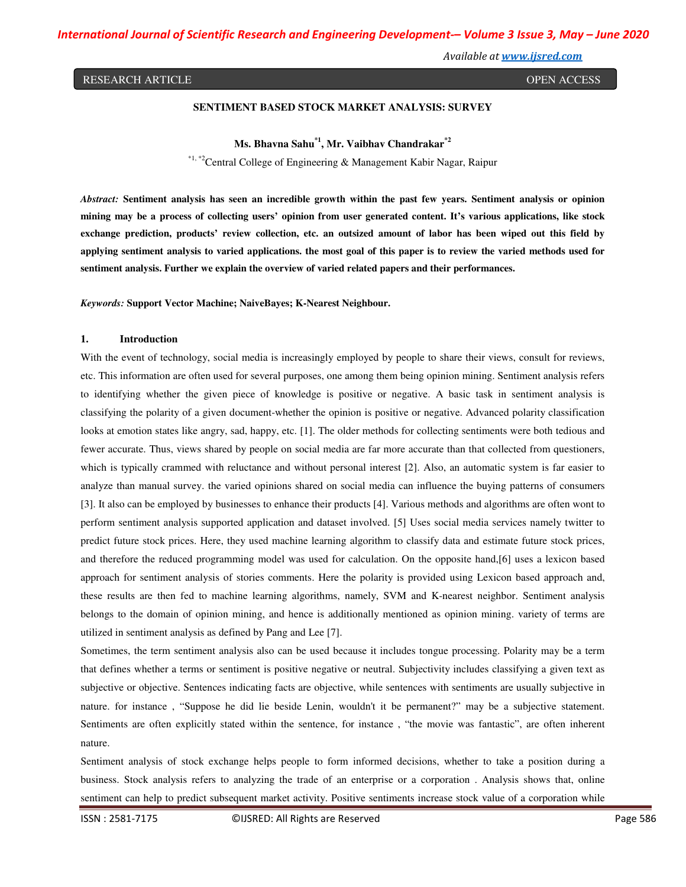*International Journal of Scientific Research and Engineering Development-– Volume 3 Issue 3, May – June 2020*

*Available at www.ijsred.com*

#### RESEARCH ARTICLE **Superintent and the CONTRACT OPEN ACCESS** OPEN ACCESS

### **SENTIMENT BASED STOCK MARKET ANALYSIS: SURVEY**

**Ms. Bhavna Sahu\*1, Mr. Vaibhav Chandrakar\*2** 

\*1, \*2Central College of Engineering & Management Kabir Nagar, Raipur

*Abstract:* **Sentiment analysis has seen an incredible growth within the past few years. Sentiment analysis or opinion mining may be a process of collecting users' opinion from user generated content. It's various applications, like stock exchange prediction, products' review collection, etc. an outsized amount of labor has been wiped out this field by applying sentiment analysis to varied applications. the most goal of this paper is to review the varied methods used for sentiment analysis. Further we explain the overview of varied related papers and their performances.** 

*Keywords:* **Support Vector Machine; NaiveBayes; K-Nearest Neighbour.** 

#### **1. Introduction**

With the event of technology, social media is increasingly employed by people to share their views, consult for reviews, etc. This information are often used for several purposes, one among them being opinion mining. Sentiment analysis refers to identifying whether the given piece of knowledge is positive or negative. A basic task in sentiment analysis is classifying the polarity of a given document-whether the opinion is positive or negative. Advanced polarity classification looks at emotion states like angry, sad, happy, etc. [1]. The older methods for collecting sentiments were both tedious and fewer accurate. Thus, views shared by people on social media are far more accurate than that collected from questioners, which is typically crammed with reluctance and without personal interest [2]. Also, an automatic system is far easier to analyze than manual survey. the varied opinions shared on social media can influence the buying patterns of consumers [3]. It also can be employed by businesses to enhance their products [4]. Various methods and algorithms are often wont to perform sentiment analysis supported application and dataset involved. [5] Uses social media services namely twitter to predict future stock prices. Here, they used machine learning algorithm to classify data and estimate future stock prices, and therefore the reduced programming model was used for calculation. On the opposite hand,[6] uses a lexicon based approach for sentiment analysis of stories comments. Here the polarity is provided using Lexicon based approach and, these results are then fed to machine learning algorithms, namely, SVM and K-nearest neighbor. Sentiment analysis belongs to the domain of opinion mining, and hence is additionally mentioned as opinion mining. variety of terms are utilized in sentiment analysis as defined by Pang and Lee [7].

Sometimes, the term sentiment analysis also can be used because it includes tongue processing. Polarity may be a term that defines whether a terms or sentiment is positive negative or neutral. Subjectivity includes classifying a given text as subjective or objective. Sentences indicating facts are objective, while sentences with sentiments are usually subjective in nature. for instance , "Suppose he did lie beside Lenin, wouldn't it be permanent?" may be a subjective statement. Sentiments are often explicitly stated within the sentence, for instance , "the movie was fantastic", are often inherent nature.

Sentiment analysis of stock exchange helps people to form informed decisions, whether to take a position during a business. Stock analysis refers to analyzing the trade of an enterprise or a corporation . Analysis shows that, online sentiment can help to predict subsequent market activity. Positive sentiments increase stock value of a corporation while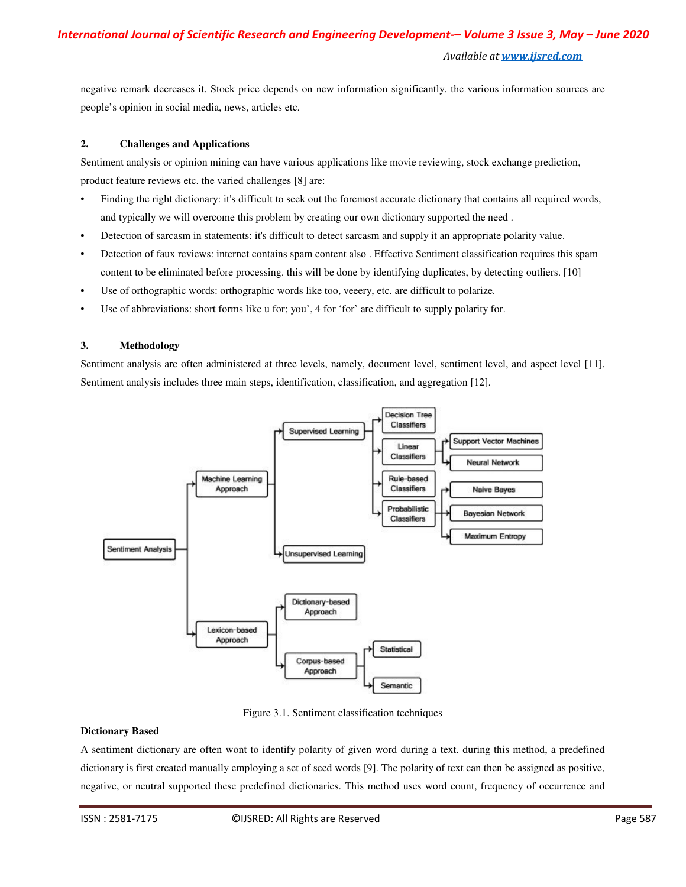*Available at www.ijsred.com*

negative remark decreases it. Stock price depends on new information significantly. the various information sources are people's opinion in social media, news, articles etc.

### **2. Challenges and Applications**

Sentiment analysis or opinion mining can have various applications like movie reviewing, stock exchange prediction, product feature reviews etc. the varied challenges [8] are:

- Finding the right dictionary: it's difficult to seek out the foremost accurate dictionary that contains all required words, and typically we will overcome this problem by creating our own dictionary supported the need .
- Detection of sarcasm in statements: it's difficult to detect sarcasm and supply it an appropriate polarity value.
- Detection of faux reviews: internet contains spam content also . Effective Sentiment classification requires this spam content to be eliminated before processing. this will be done by identifying duplicates, by detecting outliers. [10]
- Use of orthographic words: orthographic words like too, veeery, etc. are difficult to polarize.
- Use of abbreviations: short forms like u for; you', 4 for 'for' are difficult to supply polarity for.

### **3. Methodology**

Sentiment analysis are often administered at three levels, namely, document level, sentiment level, and aspect level [11]. Sentiment analysis includes three main steps, identification, classification, and aggregation [12].



Figure 3.1. Sentiment classification techniques

### **Dictionary Based**

A sentiment dictionary are often wont to identify polarity of given word during a text. during this method, a predefined dictionary is first created manually employing a set of seed words [9]. The polarity of text can then be assigned as positive, negative, or neutral supported these predefined dictionaries. This method uses word count, frequency of occurrence and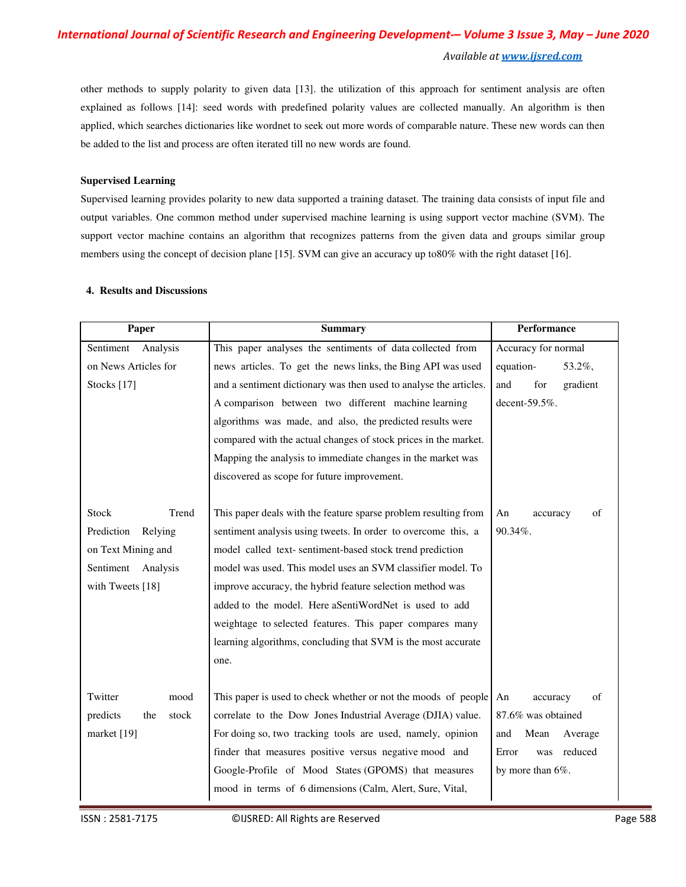# *International Journal of Scientific Research and Engineering Development-– Volume 3 Issue 3, May – June 2020 Available at www.ijsred.com*

other methods to supply polarity to given data [13]. the utilization of this approach for sentiment analysis are often explained as follows [14]: seed words with predefined polarity values are collected manually. An algorithm is then applied, which searches dictionaries like wordnet to seek out more words of comparable nature. These new words can then be added to the list and process are often iterated till no new words are found.

#### **Supervised Learning**

Supervised learning provides polarity to new data supported a training dataset. The training data consists of input file and output variables. One common method under supervised machine learning is using support vector machine (SVM). The support vector machine contains an algorithm that recognizes patterns from the given data and groups similar group members using the concept of decision plane [15]. SVM can give an accuracy up to80% with the right dataset [16].

# **Paper Paper Paper Performance Performance Performance** Sentiment Analysis This paper analyses the sentiments of data collected from on News Articles for he news articles. To get the news links, the Bing API was used equation-  $53.2\%$ , Stocks [17] and a sentiment dictionary was then used to analyse the articles. and for gradient A comparison between two different machine learning decent-59.5%. algorithms was made, and also, the predicted results were compared with the actual changes of stock prices in the market. Mapping the analysis to immediate changes in the market was discovered as scope for future improvement. Accuracy for normal Stock Trend This paper deals with the feature sparse problem resulting from Prediction Relying sentiment analysis using tweets. In order to overcome this, a |90.34%. model called text- sentiment-based stock trend prediction model was used. This model uses an SVM classifier model. To improve accuracy, the hybrid feature selection method was added to the model. Here aSentiWordNet is used to add weightage to selected features. This paper compares many learning algorithms, concluding that SVM is the most accurate one. An accuracy of on Text Mining and Sentiment Analysis with Tweets [18] Twitter mood This paper is used to check whether or not the moods of people predicts the stock correlate to the Dow Jones Industrial Average (DJIA) value. 87.6% was obtained market [19] For doing so, two tracking tools are used, namely, opinion and Mean Average finder that measures positive versus negative mood and Error was reduced Google-Profile of Mood States (GPOMS) that measures by more than 6%. mood in terms of 6 dimensions (Calm, Alert, Sure, Vital, An accuracy of

## **4. Results and Discussions**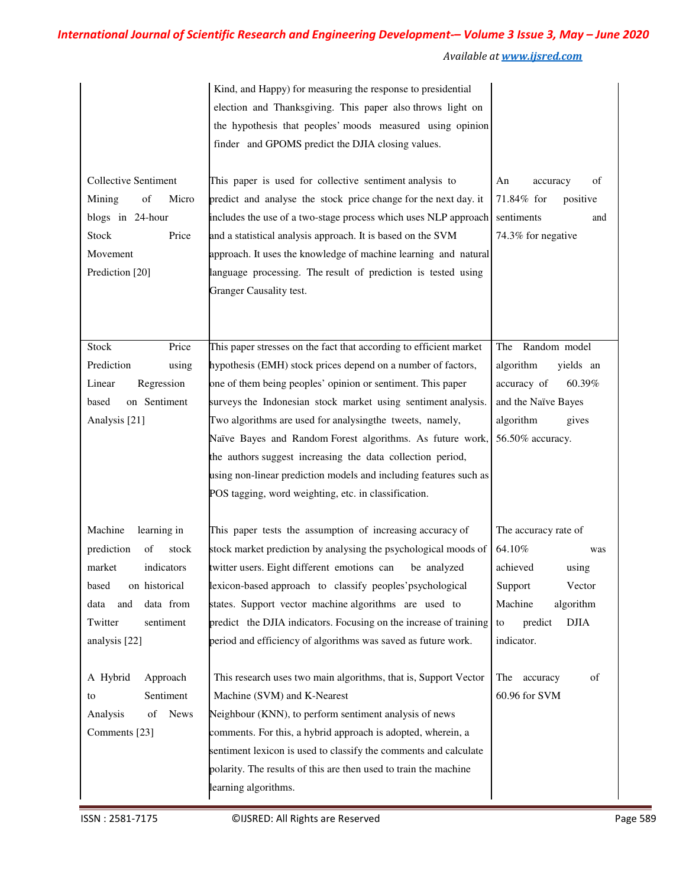# *International Journal of Scientific Research and Engineering Development-– Volume 3 Issue 3, May – June 2020*

*Available at www.ijsred.com*

| <b>Collective Sentiment</b><br>of<br>Mining<br>Micro<br>blogs in 24-hour<br>Price<br>Stock<br>Movement | Kind, and Happy) for measuring the response to presidential<br>election and Thanksgiving. This paper also throws light on<br>the hypothesis that peoples' moods measured using opinion<br>finder and GPOMS predict the DJIA closing values.<br>This paper is used for collective sentiment analysis to<br>predict and analyse the stock price change for the next day. it<br>includes the use of a two-stage process which uses NLP approach<br>and a statistical analysis approach. It is based on the SVM<br>approach. It uses the knowledge of machine learning and natural | of<br>An<br>accuracy<br>71.84% for<br>positive<br>sentiments<br>and<br>74.3% for negative |
|--------------------------------------------------------------------------------------------------------|--------------------------------------------------------------------------------------------------------------------------------------------------------------------------------------------------------------------------------------------------------------------------------------------------------------------------------------------------------------------------------------------------------------------------------------------------------------------------------------------------------------------------------------------------------------------------------|-------------------------------------------------------------------------------------------|
| Prediction [20]                                                                                        | language processing. The result of prediction is tested using<br>Granger Causality test.                                                                                                                                                                                                                                                                                                                                                                                                                                                                                       |                                                                                           |
| <b>Stock</b><br>Price                                                                                  | This paper stresses on the fact that according to efficient market                                                                                                                                                                                                                                                                                                                                                                                                                                                                                                             | Random model<br>The                                                                       |
| Prediction<br>using                                                                                    | hypothesis (EMH) stock prices depend on a number of factors,                                                                                                                                                                                                                                                                                                                                                                                                                                                                                                                   | algorithm<br>yields an                                                                    |
| Regression<br>Linear                                                                                   | one of them being peoples' opinion or sentiment. This paper                                                                                                                                                                                                                                                                                                                                                                                                                                                                                                                    | accuracy of<br>60.39%                                                                     |
| on Sentiment<br>based                                                                                  | surveys the Indonesian stock market using sentiment analysis.                                                                                                                                                                                                                                                                                                                                                                                                                                                                                                                  | and the Naïve Bayes                                                                       |
| Analysis <sup>[21]</sup>                                                                               | Two algorithms are used for analysing the tweets, namely,<br>Naïve Bayes and Random Forest algorithms. As future work,<br>the authors suggest increasing the data collection period,<br>using non-linear prediction models and including features such as<br>POS tagging, word weighting, etc. in classification.                                                                                                                                                                                                                                                              | algorithm<br>gives<br>56.50% accuracy.                                                    |
| Machine<br>learning in                                                                                 | This paper tests the assumption of increasing accuracy of                                                                                                                                                                                                                                                                                                                                                                                                                                                                                                                      | The accuracy rate of                                                                      |
| prediction<br>of<br>stock                                                                              | stock market prediction by analysing the psychological moods of                                                                                                                                                                                                                                                                                                                                                                                                                                                                                                                | 64.10%<br>was                                                                             |
| indicators<br>market                                                                                   | twitter users. Eight different emotions can<br>be analyzed                                                                                                                                                                                                                                                                                                                                                                                                                                                                                                                     | achieved<br>using                                                                         |
| based<br>on historical                                                                                 | lexicon-based approach to classify peoples'psychological                                                                                                                                                                                                                                                                                                                                                                                                                                                                                                                       | Support<br>Vector                                                                         |
| data from<br>and<br>data                                                                               | states. Support vector machine algorithms are used to                                                                                                                                                                                                                                                                                                                                                                                                                                                                                                                          | Machine<br>algorithm                                                                      |
| sentiment<br>Twitter<br>analysis [22]                                                                  | predict the DJIA indicators. Focusing on the increase of training<br>period and efficiency of algorithms was saved as future work.                                                                                                                                                                                                                                                                                                                                                                                                                                             | <b>DJIA</b><br>predict<br>to<br>indicator.                                                |
| A Hybrid<br>Approach<br>Sentiment<br>to<br><b>News</b><br>Analysis<br>of<br>Comments [23]              | This research uses two main algorithms, that is, Support Vector<br>Machine (SVM) and K-Nearest<br>Neighbour (KNN), to perform sentiment analysis of news<br>comments. For this, a hybrid approach is adopted, wherein, a<br>sentiment lexicon is used to classify the comments and calculate<br>polarity. The results of this are then used to train the machine                                                                                                                                                                                                               | of<br>The<br>accuracy<br>60.96 for SVM                                                    |
|                                                                                                        | learning algorithms.                                                                                                                                                                                                                                                                                                                                                                                                                                                                                                                                                           |                                                                                           |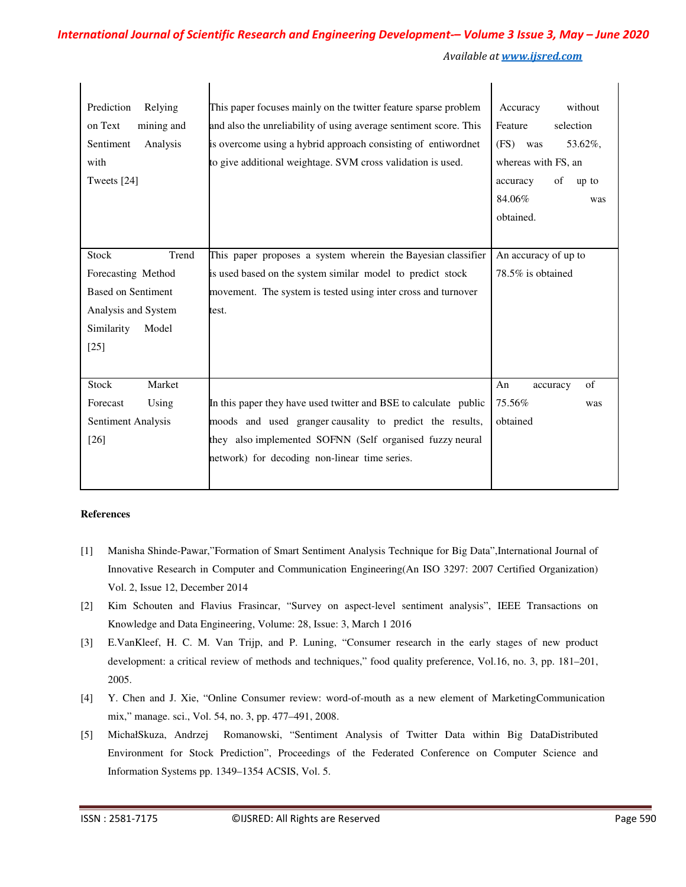*Available at www.ijsred.com*

| Prediction<br>Relying<br>on Text<br>mining and<br>Sentiment<br>Analysis<br>with<br>Tweets [24] | This paper focuses mainly on the twitter feature sparse problem<br>and also the unreliability of using average sentiment score. This<br>is overcome using a hybrid approach consisting of entiwordnet<br>to give additional weightage. SVM cross validation is used. | without<br>Accuracy<br>Feature<br>selection<br>(FS) was<br>53.62%,<br>whereas with FS, an<br>of<br>accuracy<br>up to<br>84.06%<br>was<br>obtained. |
|------------------------------------------------------------------------------------------------|----------------------------------------------------------------------------------------------------------------------------------------------------------------------------------------------------------------------------------------------------------------------|----------------------------------------------------------------------------------------------------------------------------------------------------|
| Stock<br>Trend                                                                                 | This paper proposes a system wherein the Bayesian classifier                                                                                                                                                                                                         | An accuracy of up to                                                                                                                               |
| Forecasting Method                                                                             | is used based on the system similar model to predict stock                                                                                                                                                                                                           | 78.5% is obtained                                                                                                                                  |
| <b>Based on Sentiment</b><br>Analysis and System<br>Similarity<br>Model<br>$[25]$              | movement. The system is tested using inter cross and turnover<br>test.                                                                                                                                                                                               |                                                                                                                                                    |
| Stock<br>Market<br>Forecast<br>Using<br>Sentiment Analysis<br>$[26]$                           | In this paper they have used twitter and BSE to calculate public<br>moods and used granger causality to predict the results,<br>they also implemented SOFNN (Self organised fuzzy neural<br>network) for decoding non-linear time series.                            | of<br>An<br>accuracy<br>75.56%<br>was<br>obtained                                                                                                  |

#### **References**

- [1] Manisha Shinde-Pawar,"Formation of Smart Sentiment Analysis Technique for Big Data",International Journal of Innovative Research in Computer and Communication Engineering(An ISO 3297: 2007 Certified Organization) Vol. 2, Issue 12, December 2014
- [2] Kim Schouten and Flavius Frasincar, "Survey on aspect-level sentiment analysis", IEEE Transactions on Knowledge and Data Engineering, Volume: 28, Issue: 3, March 1 2016
- [3] E.VanKleef, H. C. M. Van Trijp, and P. Luning, "Consumer research in the early stages of new product development: a critical review of methods and techniques," food quality preference, Vol.16, no. 3, pp. 181–201, 2005.
- [4] Y. Chen and J. Xie, "Online Consumer review: word-of-mouth as a new element of MarketingCommunication mix," manage. sci., Vol. 54, no. 3, pp. 477–491, 2008.
- [5] MichałSkuza, Andrzej Romanowski, "Sentiment Analysis of Twitter Data within Big DataDistributed Environment for Stock Prediction", Proceedings of the Federated Conference on Computer Science and Information Systems pp. 1349–1354 ACSIS, Vol. 5.